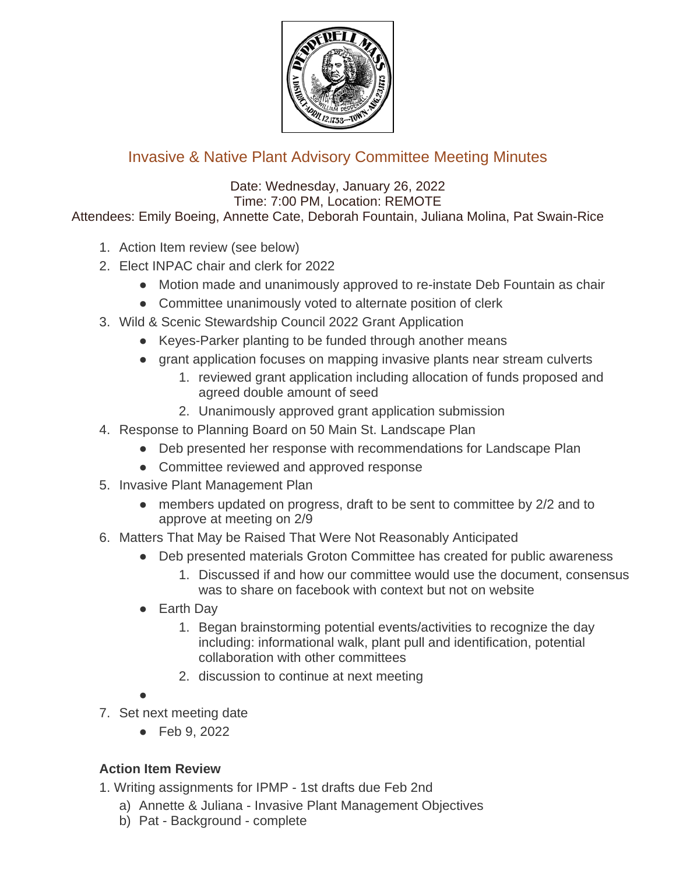

## Invasive & Native Plant Advisory Committee Meeting Minutes

Date: Wednesday, January 26, 2022 Time: 7:00 PM, Location: REMOTE Attendees: Emily Boeing, Annette Cate, Deborah Fountain, Juliana Molina, Pat Swain-Rice

- 1. Action Item review (see below)
- 2. Elect INPAC chair and clerk for 2022
	- Motion made and unanimously approved to re-instate Deb Fountain as chair
	- Committee unanimously voted to alternate position of clerk
- 3. Wild & Scenic Stewardship Council 2022 Grant Application
	- Keyes-Parker planting to be funded through another means
	- grant application focuses on mapping invasive plants near stream culverts
		- 1. reviewed grant application including allocation of funds proposed and agreed double amount of seed
		- 2. Unanimously approved grant application submission
- 4. Response to Planning Board on 50 Main St. Landscape Plan
	- Deb presented her response with recommendations for Landscape Plan
	- Committee reviewed and approved response
- 5. Invasive Plant Management Plan
	- members updated on progress, draft to be sent to committee by 2/2 and to approve at meeting on 2/9
- 6. Matters That May be Raised That Were Not Reasonably Anticipated
	- Deb presented materials Groton Committee has created for public awareness
		- 1. Discussed if and how our committee would use the document, consensus was to share on facebook with context but not on website
	- **Earth Day** 
		- 1. Began brainstorming potential events/activities to recognize the day including: informational walk, plant pull and identification, potential collaboration with other committees
		- 2. discussion to continue at next meeting
	- ●
- 7. Set next meeting date
	- Feb 9, 2022

## **Action Item Review**

1. Writing assignments for IPMP - 1st drafts due Feb 2nd

- a) Annette & Juliana Invasive Plant Management Objectives
- b) Pat Background complete